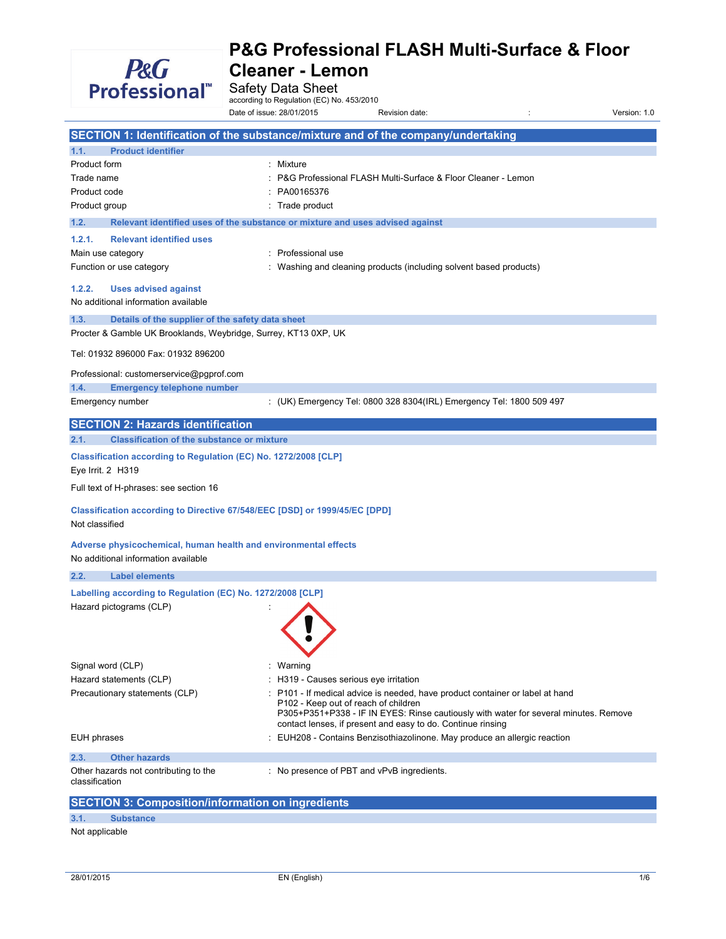

Safety Data Sheet<br>according to Regulation (EC) No. 453/2010

|                                                                                                        | Date of issue: 28/01/2015                  | Revision date:                                                                                                                                                                                                                     | Version: 1.0 |
|--------------------------------------------------------------------------------------------------------|--------------------------------------------|------------------------------------------------------------------------------------------------------------------------------------------------------------------------------------------------------------------------------------|--------------|
| SECTION 1: Identification of the substance/mixture and of the company/undertaking                      |                                            |                                                                                                                                                                                                                                    |              |
| <b>Product identifier</b><br>1.1.                                                                      |                                            |                                                                                                                                                                                                                                    |              |
| Product form                                                                                           | : Mixture                                  |                                                                                                                                                                                                                                    |              |
| Trade name                                                                                             |                                            | P&G Professional FLASH Multi-Surface & Floor Cleaner - Lemon                                                                                                                                                                       |              |
| Product code                                                                                           | PA00165376                                 |                                                                                                                                                                                                                                    |              |
| Product group                                                                                          | Trade product                              |                                                                                                                                                                                                                                    |              |
| 1.2.<br>Relevant identified uses of the substance or mixture and uses advised against                  |                                            |                                                                                                                                                                                                                                    |              |
| <b>Relevant identified uses</b><br>1.2.1.                                                              |                                            |                                                                                                                                                                                                                                    |              |
| Main use category                                                                                      | : Professional use                         |                                                                                                                                                                                                                                    |              |
| Function or use category                                                                               |                                            | : Washing and cleaning products (including solvent based products)                                                                                                                                                                 |              |
| 1.2.2.<br><b>Uses advised against</b><br>No additional information available                           |                                            |                                                                                                                                                                                                                                    |              |
| Details of the supplier of the safety data sheet<br>1.3.                                               |                                            |                                                                                                                                                                                                                                    |              |
| Procter & Gamble UK Brooklands, Weybridge, Surrey, KT13 0XP, UK                                        |                                            |                                                                                                                                                                                                                                    |              |
| Tel: 01932 896000 Fax: 01932 896200                                                                    |                                            |                                                                                                                                                                                                                                    |              |
| Professional: customerservice@pgprof.com                                                               |                                            |                                                                                                                                                                                                                                    |              |
| <b>Emergency telephone number</b><br>1.4.                                                              |                                            |                                                                                                                                                                                                                                    |              |
| Emergency number                                                                                       |                                            | : (UK) Emergency Tel: 0800 328 8304(IRL) Emergency Tel: 1800 509 497                                                                                                                                                               |              |
| <b>SECTION 2: Hazards identification</b>                                                               |                                            |                                                                                                                                                                                                                                    |              |
| <b>Classification of the substance or mixture</b><br>2.1.                                              |                                            |                                                                                                                                                                                                                                    |              |
| Classification according to Regulation (EC) No. 1272/2008 [CLP]<br>Eye Irrit. 2 H319                   |                                            |                                                                                                                                                                                                                                    |              |
| Full text of H-phrases: see section 16                                                                 |                                            |                                                                                                                                                                                                                                    |              |
| Classification according to Directive 67/548/EEC [DSD] or 1999/45/EC [DPD]<br>Not classified           |                                            |                                                                                                                                                                                                                                    |              |
| Adverse physicochemical, human health and environmental effects<br>No additional information available |                                            |                                                                                                                                                                                                                                    |              |
| 2.2.<br><b>Label elements</b>                                                                          |                                            |                                                                                                                                                                                                                                    |              |
| Labelling according to Regulation (EC) No. 1272/2008 [CLP]                                             |                                            |                                                                                                                                                                                                                                    |              |
| Hazard pictograms (CLP)                                                                                |                                            |                                                                                                                                                                                                                                    |              |
| Signal word (CLP)                                                                                      | Warning                                    |                                                                                                                                                                                                                                    |              |
| Hazard statements (CLP)                                                                                | H319 - Causes serious eye irritation       |                                                                                                                                                                                                                                    |              |
| Precautionary statements (CLP)                                                                         | P102 - Keep out of reach of children       | P101 - If medical advice is needed, have product container or label at hand<br>P305+P351+P338 - IF IN EYES: Rinse cautiously with water for several minutes. Remove<br>contact lenses, if present and easy to do. Continue rinsing |              |
| EUH phrases                                                                                            |                                            | EUH208 - Contains Benzisothiazolinone. May produce an allergic reaction                                                                                                                                                            |              |
| 2.3.<br><b>Other hazards</b>                                                                           |                                            |                                                                                                                                                                                                                                    |              |
| Other hazards not contributing to the<br>classification                                                | : No presence of PBT and vPvB ingredients. |                                                                                                                                                                                                                                    |              |
| <b>SECTION 3: Composition/information on ingredients</b>                                               |                                            |                                                                                                                                                                                                                                    |              |
| 3.1.<br><b>Substance</b>                                                                               |                                            |                                                                                                                                                                                                                                    |              |

Not applicable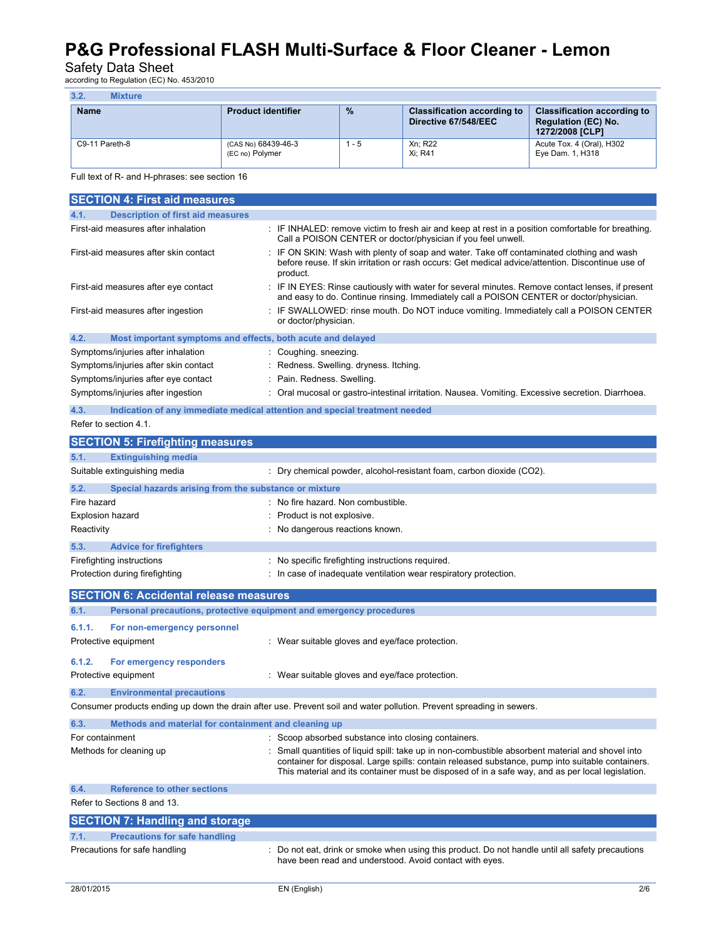Safety Data Sheet<br>according to Regulation (EC) No. 453/2010

| 3.2.        | Mixture        |                                        |               |                                                            |                                                                                     |
|-------------|----------------|----------------------------------------|---------------|------------------------------------------------------------|-------------------------------------------------------------------------------------|
| <b>Name</b> |                | <b>Product identifier</b>              | $\frac{9}{6}$ | <b>Classification according to</b><br>Directive 67/548/EEC | <b>Classification according to</b><br><b>Regulation (EC) No.</b><br>1272/2008 [CLP] |
|             | C9-11 Pareth-8 | (CAS No) 68439-46-3<br>(EC no) Polymer | $1 - 5$       | Xn: R22<br>Xi: R41                                         | Acute Tox. 4 (Oral), H302<br>Eye Dam. 1, H318                                       |

#### Full text of R- and H-phrases: see section 16

| <b>SECTION 4: First aid measures</b>                                                                                 |                                                                                                                                                                                                                                                                                                         |  |  |  |
|----------------------------------------------------------------------------------------------------------------------|---------------------------------------------------------------------------------------------------------------------------------------------------------------------------------------------------------------------------------------------------------------------------------------------------------|--|--|--|
| <b>Description of first aid measures</b><br>4.1.                                                                     |                                                                                                                                                                                                                                                                                                         |  |  |  |
| First-aid measures after inhalation                                                                                  | : IF INHALED: remove victim to fresh air and keep at rest in a position comfortable for breathing.<br>Call a POISON CENTER or doctor/physician if you feel unwell.                                                                                                                                      |  |  |  |
| First-aid measures after skin contact                                                                                | : IF ON SKIN: Wash with plenty of soap and water. Take off contaminated clothing and wash<br>before reuse. If skin irritation or rash occurs: Get medical advice/attention. Discontinue use of<br>product.                                                                                              |  |  |  |
| First-aid measures after eye contact                                                                                 | : IF IN EYES: Rinse cautiously with water for several minutes. Remove contact lenses, if present<br>and easy to do. Continue rinsing. Immediately call a POISON CENTER or doctor/physician.                                                                                                             |  |  |  |
| First-aid measures after ingestion                                                                                   | IF SWALLOWED: rinse mouth. Do NOT induce vomiting. Immediately call a POISON CENTER<br>or doctor/physician.                                                                                                                                                                                             |  |  |  |
| 4.2.<br>Most important symptoms and effects, both acute and delayed                                                  |                                                                                                                                                                                                                                                                                                         |  |  |  |
| Symptoms/injuries after inhalation                                                                                   | Coughing. sneezing.                                                                                                                                                                                                                                                                                     |  |  |  |
| Symptoms/injuries after skin contact                                                                                 | Redness. Swelling. dryness. Itching.                                                                                                                                                                                                                                                                    |  |  |  |
| Symptoms/injuries after eye contact                                                                                  | Pain. Redness. Swelling.                                                                                                                                                                                                                                                                                |  |  |  |
| Symptoms/injuries after ingestion                                                                                    | Oral mucosal or gastro-intestinal irritation. Nausea. Vomiting. Excessive secretion. Diarrhoea.                                                                                                                                                                                                         |  |  |  |
| Indication of any immediate medical attention and special treatment needed<br>4.3.                                   |                                                                                                                                                                                                                                                                                                         |  |  |  |
| Refer to section 4.1.                                                                                                |                                                                                                                                                                                                                                                                                                         |  |  |  |
| <b>SECTION 5: Firefighting measures</b>                                                                              |                                                                                                                                                                                                                                                                                                         |  |  |  |
| 5.1.<br><b>Extinguishing media</b>                                                                                   |                                                                                                                                                                                                                                                                                                         |  |  |  |
| Suitable extinguishing media                                                                                         | : Dry chemical powder, alcohol-resistant foam, carbon dioxide (CO2).                                                                                                                                                                                                                                    |  |  |  |
| 5.2.<br>Special hazards arising from the substance or mixture                                                        |                                                                                                                                                                                                                                                                                                         |  |  |  |
| Fire hazard                                                                                                          | : No fire hazard. Non combustible.                                                                                                                                                                                                                                                                      |  |  |  |
| <b>Explosion hazard</b>                                                                                              | Product is not explosive.                                                                                                                                                                                                                                                                               |  |  |  |
| Reactivity                                                                                                           | : No dangerous reactions known.                                                                                                                                                                                                                                                                         |  |  |  |
| 5.3.<br><b>Advice for firefighters</b>                                                                               |                                                                                                                                                                                                                                                                                                         |  |  |  |
| Firefighting instructions                                                                                            | : No specific firefighting instructions required.                                                                                                                                                                                                                                                       |  |  |  |
| Protection during firefighting                                                                                       | In case of inadequate ventilation wear respiratory protection.                                                                                                                                                                                                                                          |  |  |  |
| <b>SECTION 6: Accidental release measures</b>                                                                        |                                                                                                                                                                                                                                                                                                         |  |  |  |
| Personal precautions, protective equipment and emergency procedures<br>6.1.                                          |                                                                                                                                                                                                                                                                                                         |  |  |  |
| 6.1.1.<br>For non-emergency personnel                                                                                |                                                                                                                                                                                                                                                                                                         |  |  |  |
| Protective equipment                                                                                                 | : Wear suitable gloves and eye/face protection.                                                                                                                                                                                                                                                         |  |  |  |
|                                                                                                                      |                                                                                                                                                                                                                                                                                                         |  |  |  |
| 6.1.2.<br>For emergency responders                                                                                   |                                                                                                                                                                                                                                                                                                         |  |  |  |
| Protective equipment                                                                                                 | : Wear suitable gloves and eye/face protection.                                                                                                                                                                                                                                                         |  |  |  |
| 6.2.<br><b>Environmental precautions</b>                                                                             |                                                                                                                                                                                                                                                                                                         |  |  |  |
| Consumer products ending up down the drain after use. Prevent soil and water pollution. Prevent spreading in sewers. |                                                                                                                                                                                                                                                                                                         |  |  |  |
| 6.3.<br>Methods and material for containment and cleaning up                                                         |                                                                                                                                                                                                                                                                                                         |  |  |  |
| For containment                                                                                                      | : Scoop absorbed substance into closing containers.                                                                                                                                                                                                                                                     |  |  |  |
| Methods for cleaning up                                                                                              | Small quantities of liquid spill: take up in non-combustible absorbent material and shovel into<br>container for disposal. Large spills: contain released substance, pump into suitable containers.<br>This material and its container must be disposed of in a safe way, and as per local legislation. |  |  |  |
| 6.4.<br><b>Reference to other sections</b>                                                                           |                                                                                                                                                                                                                                                                                                         |  |  |  |
| Refer to Sections 8 and 13.                                                                                          |                                                                                                                                                                                                                                                                                                         |  |  |  |
| <b>SECTION 7: Handling and storage</b>                                                                               |                                                                                                                                                                                                                                                                                                         |  |  |  |
| <b>Precautions for safe handling</b><br>7.1.                                                                         |                                                                                                                                                                                                                                                                                                         |  |  |  |
| Precautions for safe handling                                                                                        | Do not eat, drink or smoke when using this product. Do not handle until all safety precautions<br>have been read and understood. Avoid contact with eyes.                                                                                                                                               |  |  |  |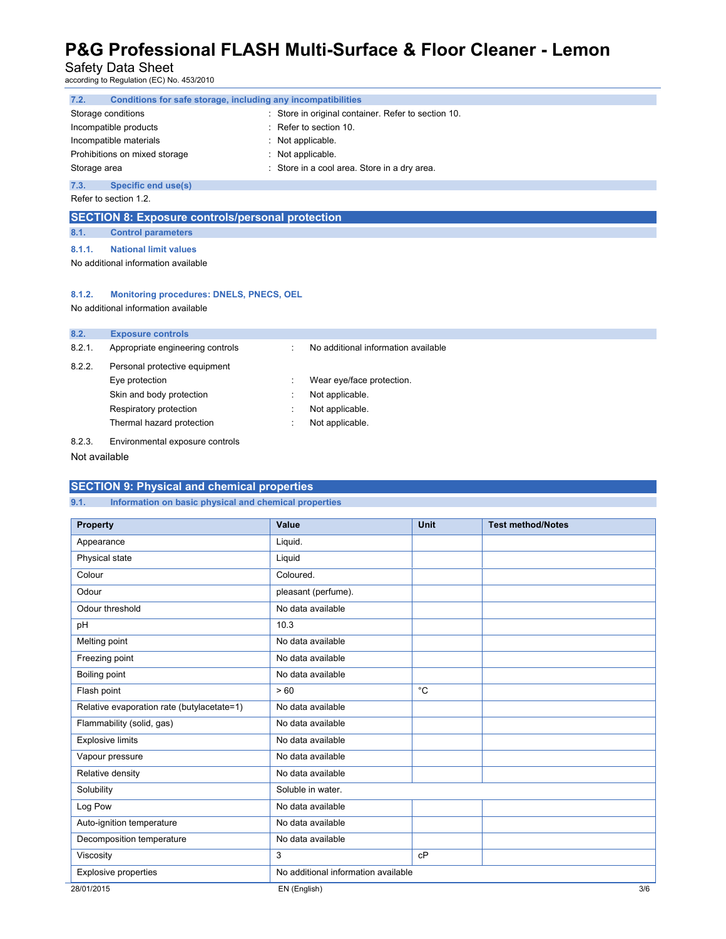Safety Data Sheet<br>according to Regulation (EC) No. 453/2010

| Conditions for safe storage, including any incompatibilities |  |  |
|--------------------------------------------------------------|--|--|
| Store in original container. Refer to section 10.            |  |  |
| Refer to section 10.                                         |  |  |
| Not applicable.                                              |  |  |
| Not applicable.                                              |  |  |
| Store in a cool area. Store in a dry area.                   |  |  |
|                                                              |  |  |
| Refer to section 1.2.                                        |  |  |
|                                                              |  |  |

### **SECTION 8: Exposure controls/personal protection**

**8.1. Control parameters** 

**8.1.1. National limit values** 

No additional information available

#### **8.1.2. Monitoring procedures: DNELS, PNECS, OEL**

No additional information available

| 8.2.   | <b>Exposure controls</b>         |   |                                     |
|--------|----------------------------------|---|-------------------------------------|
| 8.2.1. | Appropriate engineering controls |   | No additional information available |
| 8.2.2. | Personal protective equipment    |   |                                     |
|        | Eye protection                   |   | Wear eye/face protection.           |
|        | Skin and body protection         |   | Not applicable.                     |
|        | Respiratory protection           |   | Not applicable.                     |
|        | Thermal hazard protection        | ٠ | Not applicable.                     |
| 8.2.3. | Environmental exposure controls  |   |                                     |

Not available

### **SECTION 9: Physical and chemical properties**

**9.1. Information on basic physical and chemical properties** 

| <b>Property</b>                            | Value                               | <b>Unit</b> | <b>Test method/Notes</b> |
|--------------------------------------------|-------------------------------------|-------------|--------------------------|
| Appearance                                 | Liquid.                             |             |                          |
| Physical state                             | Liquid                              |             |                          |
| Colour                                     | Coloured.                           |             |                          |
| Odour                                      | pleasant (perfume).                 |             |                          |
| Odour threshold                            | No data available                   |             |                          |
| pH                                         | 10.3                                |             |                          |
| Melting point                              | No data available                   |             |                          |
| Freezing point                             | No data available                   |             |                          |
| Boiling point                              | No data available                   |             |                          |
| Flash point                                | >60                                 | $^{\circ}C$ |                          |
| Relative evaporation rate (butylacetate=1) | No data available                   |             |                          |
| Flammability (solid, gas)                  | No data available                   |             |                          |
| <b>Explosive limits</b>                    | No data available                   |             |                          |
| Vapour pressure                            | No data available                   |             |                          |
| Relative density                           | No data available                   |             |                          |
| Solubility                                 | Soluble in water.                   |             |                          |
| Log Pow                                    | No data available                   |             |                          |
| Auto-ignition temperature                  | No data available                   |             |                          |
| Decomposition temperature                  | No data available                   |             |                          |
| Viscosity                                  | 3                                   | cP          |                          |
| <b>Explosive properties</b>                | No additional information available |             |                          |
| 28/01/2015                                 | EN (English)                        |             | 3/6                      |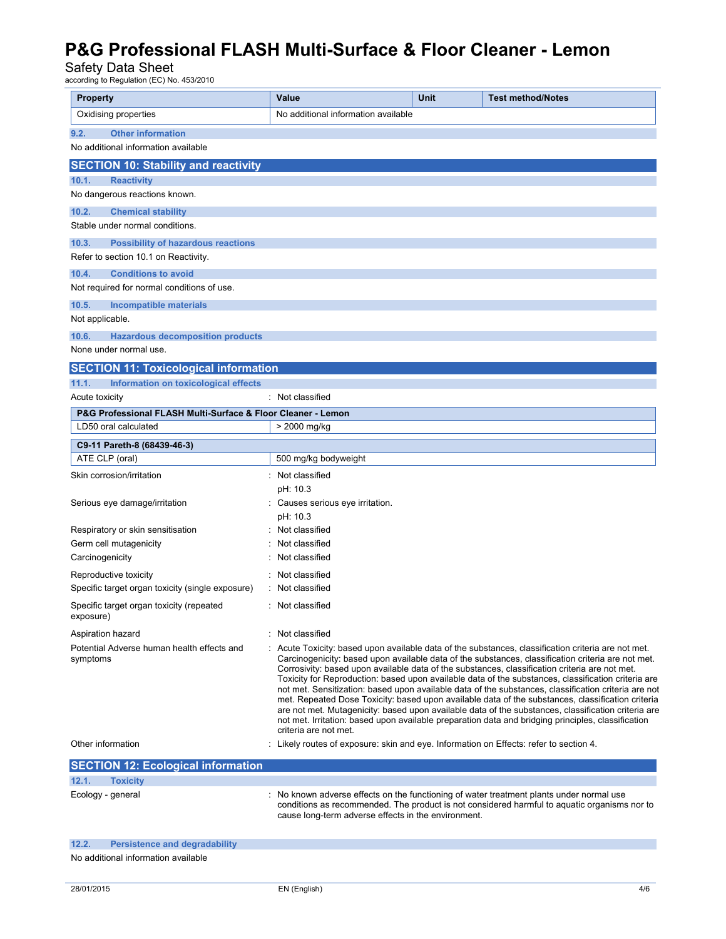Safety Data Sheet<br>according to Regulation (EC) No. 453/2010

| <b>Property</b>                                                                      | <b>Value</b>                                                                         | Unit | <b>Test method/Notes</b>                                                                                                                                                                                                                                                                                                                                                                                                                                                                                                                                                                                                                                                                                                                                                                                                                     |
|--------------------------------------------------------------------------------------|--------------------------------------------------------------------------------------|------|----------------------------------------------------------------------------------------------------------------------------------------------------------------------------------------------------------------------------------------------------------------------------------------------------------------------------------------------------------------------------------------------------------------------------------------------------------------------------------------------------------------------------------------------------------------------------------------------------------------------------------------------------------------------------------------------------------------------------------------------------------------------------------------------------------------------------------------------|
| Oxidising properties                                                                 | No additional information available                                                  |      |                                                                                                                                                                                                                                                                                                                                                                                                                                                                                                                                                                                                                                                                                                                                                                                                                                              |
| 9.2.<br><b>Other information</b>                                                     |                                                                                      |      |                                                                                                                                                                                                                                                                                                                                                                                                                                                                                                                                                                                                                                                                                                                                                                                                                                              |
| No additional information available                                                  |                                                                                      |      |                                                                                                                                                                                                                                                                                                                                                                                                                                                                                                                                                                                                                                                                                                                                                                                                                                              |
| <b>SECTION 10: Stability and reactivity</b>                                          |                                                                                      |      |                                                                                                                                                                                                                                                                                                                                                                                                                                                                                                                                                                                                                                                                                                                                                                                                                                              |
| 10.1.<br><b>Reactivity</b>                                                           |                                                                                      |      |                                                                                                                                                                                                                                                                                                                                                                                                                                                                                                                                                                                                                                                                                                                                                                                                                                              |
| No dangerous reactions known.                                                        |                                                                                      |      |                                                                                                                                                                                                                                                                                                                                                                                                                                                                                                                                                                                                                                                                                                                                                                                                                                              |
| 10.2.<br><b>Chemical stability</b>                                                   |                                                                                      |      |                                                                                                                                                                                                                                                                                                                                                                                                                                                                                                                                                                                                                                                                                                                                                                                                                                              |
| Stable under normal conditions                                                       |                                                                                      |      |                                                                                                                                                                                                                                                                                                                                                                                                                                                                                                                                                                                                                                                                                                                                                                                                                                              |
| 10.3.<br><b>Possibility of hazardous reactions</b>                                   |                                                                                      |      |                                                                                                                                                                                                                                                                                                                                                                                                                                                                                                                                                                                                                                                                                                                                                                                                                                              |
| Refer to section 10.1 on Reactivity.                                                 |                                                                                      |      |                                                                                                                                                                                                                                                                                                                                                                                                                                                                                                                                                                                                                                                                                                                                                                                                                                              |
| <b>Conditions to avoid</b><br>10.4.                                                  |                                                                                      |      |                                                                                                                                                                                                                                                                                                                                                                                                                                                                                                                                                                                                                                                                                                                                                                                                                                              |
| Not required for normal conditions of use.                                           |                                                                                      |      |                                                                                                                                                                                                                                                                                                                                                                                                                                                                                                                                                                                                                                                                                                                                                                                                                                              |
| 10.5.<br><b>Incompatible materials</b>                                               |                                                                                      |      |                                                                                                                                                                                                                                                                                                                                                                                                                                                                                                                                                                                                                                                                                                                                                                                                                                              |
| Not applicable.                                                                      |                                                                                      |      |                                                                                                                                                                                                                                                                                                                                                                                                                                                                                                                                                                                                                                                                                                                                                                                                                                              |
| 10.6.<br><b>Hazardous decomposition products</b>                                     |                                                                                      |      |                                                                                                                                                                                                                                                                                                                                                                                                                                                                                                                                                                                                                                                                                                                                                                                                                                              |
| None under normal use.                                                               |                                                                                      |      |                                                                                                                                                                                                                                                                                                                                                                                                                                                                                                                                                                                                                                                                                                                                                                                                                                              |
| <b>SECTION 11: Toxicological information</b>                                         |                                                                                      |      |                                                                                                                                                                                                                                                                                                                                                                                                                                                                                                                                                                                                                                                                                                                                                                                                                                              |
| 11.1.<br>Information on toxicological effects                                        |                                                                                      |      |                                                                                                                                                                                                                                                                                                                                                                                                                                                                                                                                                                                                                                                                                                                                                                                                                                              |
| Acute toxicity                                                                       | : Not classified                                                                     |      |                                                                                                                                                                                                                                                                                                                                                                                                                                                                                                                                                                                                                                                                                                                                                                                                                                              |
| P&G Professional FLASH Multi-Surface & Floor Cleaner - Lemon<br>LD50 oral calculated | > 2000 mg/kg                                                                         |      |                                                                                                                                                                                                                                                                                                                                                                                                                                                                                                                                                                                                                                                                                                                                                                                                                                              |
|                                                                                      |                                                                                      |      |                                                                                                                                                                                                                                                                                                                                                                                                                                                                                                                                                                                                                                                                                                                                                                                                                                              |
| C9-11 Pareth-8 (68439-46-3)<br>ATE CLP (oral)                                        | 500 mg/kg bodyweight                                                                 |      |                                                                                                                                                                                                                                                                                                                                                                                                                                                                                                                                                                                                                                                                                                                                                                                                                                              |
| Skin corrosion/irritation                                                            | Not classified                                                                       |      |                                                                                                                                                                                                                                                                                                                                                                                                                                                                                                                                                                                                                                                                                                                                                                                                                                              |
|                                                                                      | pH: 10.3                                                                             |      |                                                                                                                                                                                                                                                                                                                                                                                                                                                                                                                                                                                                                                                                                                                                                                                                                                              |
| Serious eye damage/irritation                                                        | Causes serious eye irritation.                                                       |      |                                                                                                                                                                                                                                                                                                                                                                                                                                                                                                                                                                                                                                                                                                                                                                                                                                              |
|                                                                                      | pH: 10.3                                                                             |      |                                                                                                                                                                                                                                                                                                                                                                                                                                                                                                                                                                                                                                                                                                                                                                                                                                              |
| Respiratory or skin sensitisation                                                    | Not classified                                                                       |      |                                                                                                                                                                                                                                                                                                                                                                                                                                                                                                                                                                                                                                                                                                                                                                                                                                              |
| Germ cell mutagenicity                                                               | Not classified                                                                       |      |                                                                                                                                                                                                                                                                                                                                                                                                                                                                                                                                                                                                                                                                                                                                                                                                                                              |
| Carcinogenicity                                                                      | Not classified                                                                       |      |                                                                                                                                                                                                                                                                                                                                                                                                                                                                                                                                                                                                                                                                                                                                                                                                                                              |
| Reproductive toxicity                                                                | Not classified                                                                       |      |                                                                                                                                                                                                                                                                                                                                                                                                                                                                                                                                                                                                                                                                                                                                                                                                                                              |
| Specific target organ toxicity (single exposure)                                     | Not classified                                                                       |      |                                                                                                                                                                                                                                                                                                                                                                                                                                                                                                                                                                                                                                                                                                                                                                                                                                              |
| Specific target organ toxicity (repeated<br>exposure)                                | : Not classified                                                                     |      |                                                                                                                                                                                                                                                                                                                                                                                                                                                                                                                                                                                                                                                                                                                                                                                                                                              |
| Aspiration hazard                                                                    | : Not classified                                                                     |      |                                                                                                                                                                                                                                                                                                                                                                                                                                                                                                                                                                                                                                                                                                                                                                                                                                              |
| Potential Adverse human health effects and<br>symptoms                               | criteria are not met.                                                                |      | : Acute Toxicity: based upon available data of the substances, classification criteria are not met.<br>Carcinogenicity: based upon available data of the substances, classification criteria are not met.<br>Corrosivity: based upon available data of the substances, classification criteria are not met.<br>Toxicity for Reproduction: based upon available data of the substances, classification criteria are<br>not met. Sensitization: based upon available data of the substances, classification criteria are not<br>met. Repeated Dose Toxicity: based upon available data of the substances, classification criteria<br>are not met. Mutagenicity: based upon available data of the substances, classification criteria are<br>not met. Irritation: based upon available preparation data and bridging principles, classification |
| Other information                                                                    | Likely routes of exposure: skin and eye. Information on Effects: refer to section 4. |      |                                                                                                                                                                                                                                                                                                                                                                                                                                                                                                                                                                                                                                                                                                                                                                                                                                              |
| <b>SECTION 12: Ecological information</b>                                            |                                                                                      |      |                                                                                                                                                                                                                                                                                                                                                                                                                                                                                                                                                                                                                                                                                                                                                                                                                                              |
| 12.1.<br><b>Toxicity</b>                                                             |                                                                                      |      |                                                                                                                                                                                                                                                                                                                                                                                                                                                                                                                                                                                                                                                                                                                                                                                                                                              |
| Ecology - general                                                                    | cause long-term adverse effects in the environment.                                  |      | : No known adverse effects on the functioning of water treatment plants under normal use<br>conditions as recommended. The product is not considered harmful to aquatic organisms nor to                                                                                                                                                                                                                                                                                                                                                                                                                                                                                                                                                                                                                                                     |
| 12.2.<br><b>Persistence and degradability</b>                                        |                                                                                      |      |                                                                                                                                                                                                                                                                                                                                                                                                                                                                                                                                                                                                                                                                                                                                                                                                                                              |
| No additional information available                                                  |                                                                                      |      |                                                                                                                                                                                                                                                                                                                                                                                                                                                                                                                                                                                                                                                                                                                                                                                                                                              |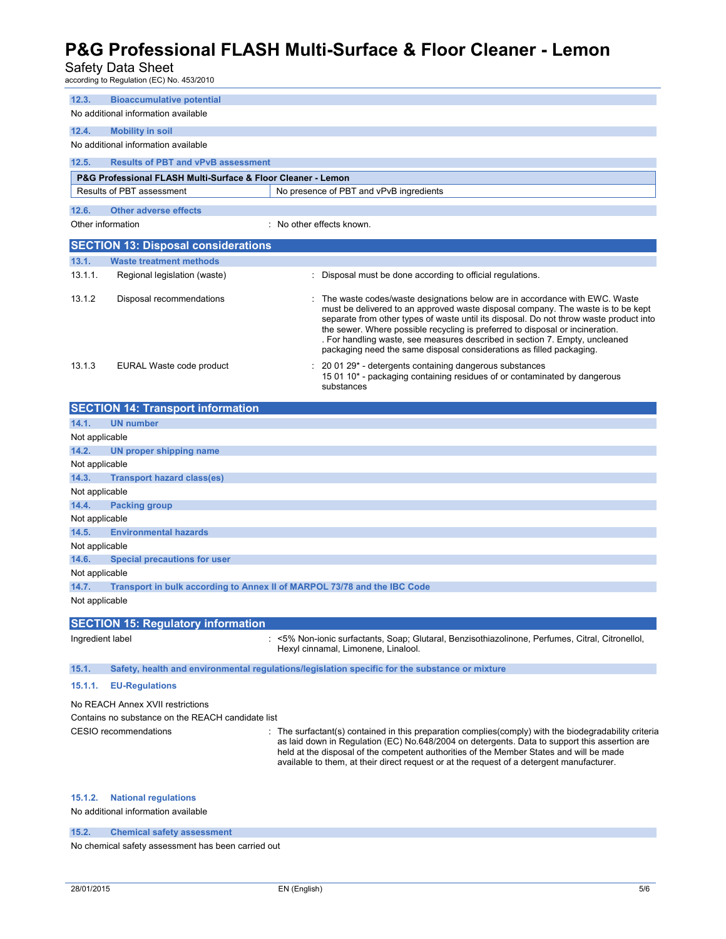### Safety Data Sheet

|                                                                                                         | according to Regulation (EC) No. 453/2010                                                  |                                                                                                                                                                                                                                                                                                                                                                                                                                                                                                  |  |  |
|---------------------------------------------------------------------------------------------------------|--------------------------------------------------------------------------------------------|--------------------------------------------------------------------------------------------------------------------------------------------------------------------------------------------------------------------------------------------------------------------------------------------------------------------------------------------------------------------------------------------------------------------------------------------------------------------------------------------------|--|--|
| 12.3.                                                                                                   | <b>Bioaccumulative potential</b>                                                           |                                                                                                                                                                                                                                                                                                                                                                                                                                                                                                  |  |  |
| No additional information available                                                                     |                                                                                            |                                                                                                                                                                                                                                                                                                                                                                                                                                                                                                  |  |  |
| 12.4.                                                                                                   | <b>Mobility in soil</b>                                                                    |                                                                                                                                                                                                                                                                                                                                                                                                                                                                                                  |  |  |
|                                                                                                         | No additional information available                                                        |                                                                                                                                                                                                                                                                                                                                                                                                                                                                                                  |  |  |
| 12.5.                                                                                                   | <b>Results of PBT and vPvB assessment</b>                                                  |                                                                                                                                                                                                                                                                                                                                                                                                                                                                                                  |  |  |
|                                                                                                         | P&G Professional FLASH Multi-Surface & Floor Cleaner - Lemon                               |                                                                                                                                                                                                                                                                                                                                                                                                                                                                                                  |  |  |
|                                                                                                         | Results of PBT assessment                                                                  | No presence of PBT and vPvB ingredients                                                                                                                                                                                                                                                                                                                                                                                                                                                          |  |  |
|                                                                                                         |                                                                                            |                                                                                                                                                                                                                                                                                                                                                                                                                                                                                                  |  |  |
| 12.6.                                                                                                   | <b>Other adverse effects</b>                                                               |                                                                                                                                                                                                                                                                                                                                                                                                                                                                                                  |  |  |
|                                                                                                         | Other information                                                                          | No other effects known.                                                                                                                                                                                                                                                                                                                                                                                                                                                                          |  |  |
|                                                                                                         | <b>SECTION 13: Disposal considerations</b>                                                 |                                                                                                                                                                                                                                                                                                                                                                                                                                                                                                  |  |  |
| 13.1.                                                                                                   | <b>Waste treatment methods</b>                                                             |                                                                                                                                                                                                                                                                                                                                                                                                                                                                                                  |  |  |
| 13.1.1.                                                                                                 | Regional legislation (waste)                                                               | : Disposal must be done according to official regulations.                                                                                                                                                                                                                                                                                                                                                                                                                                       |  |  |
| 13.1.2                                                                                                  | Disposal recommendations                                                                   | The waste codes/waste designations below are in accordance with EWC. Waste<br>must be delivered to an approved waste disposal company. The waste is to be kept<br>separate from other types of waste until its disposal. Do not throw waste product into<br>the sewer. Where possible recycling is preferred to disposal or incineration.<br>. For handling waste, see measures described in section 7. Empty, uncleaned<br>packaging need the same disposal considerations as filled packaging. |  |  |
| 13.1.3                                                                                                  | EURAL Waste code product                                                                   | 20 01 29* - detergents containing dangerous substances<br>15 01 10 <sup>*</sup> - packaging containing residues of or contaminated by dangerous<br>substances                                                                                                                                                                                                                                                                                                                                    |  |  |
|                                                                                                         | <b>SECTION 14: Transport information</b>                                                   |                                                                                                                                                                                                                                                                                                                                                                                                                                                                                                  |  |  |
| 14.1.                                                                                                   | <b>UN number</b>                                                                           |                                                                                                                                                                                                                                                                                                                                                                                                                                                                                                  |  |  |
| Not applicable                                                                                          |                                                                                            |                                                                                                                                                                                                                                                                                                                                                                                                                                                                                                  |  |  |
| 14.2.                                                                                                   | UN proper shipping name                                                                    |                                                                                                                                                                                                                                                                                                                                                                                                                                                                                                  |  |  |
| Not applicable                                                                                          |                                                                                            |                                                                                                                                                                                                                                                                                                                                                                                                                                                                                                  |  |  |
| 14.3.                                                                                                   | <b>Transport hazard class(es)</b>                                                          |                                                                                                                                                                                                                                                                                                                                                                                                                                                                                                  |  |  |
| Not applicable                                                                                          |                                                                                            |                                                                                                                                                                                                                                                                                                                                                                                                                                                                                                  |  |  |
| 14.4.                                                                                                   | <b>Packing group</b>                                                                       |                                                                                                                                                                                                                                                                                                                                                                                                                                                                                                  |  |  |
| Not applicable                                                                                          |                                                                                            |                                                                                                                                                                                                                                                                                                                                                                                                                                                                                                  |  |  |
| 14.5.<br>Not applicable                                                                                 | <b>Environmental hazards</b>                                                               |                                                                                                                                                                                                                                                                                                                                                                                                                                                                                                  |  |  |
| 14.6.                                                                                                   | <b>Special precautions for user</b>                                                        |                                                                                                                                                                                                                                                                                                                                                                                                                                                                                                  |  |  |
|                                                                                                         |                                                                                            |                                                                                                                                                                                                                                                                                                                                                                                                                                                                                                  |  |  |
| 14.7.                                                                                                   | Not applicable<br>Transport in bulk according to Annex II of MARPOL 73/78 and the IBC Code |                                                                                                                                                                                                                                                                                                                                                                                                                                                                                                  |  |  |
| Not applicable                                                                                          |                                                                                            |                                                                                                                                                                                                                                                                                                                                                                                                                                                                                                  |  |  |
| <b>SECTION 15: Regulatory information</b>                                                               |                                                                                            |                                                                                                                                                                                                                                                                                                                                                                                                                                                                                                  |  |  |
| Ingredient label                                                                                        |                                                                                            | : <5% Non-ionic surfactants, Soap; Glutaral, Benzisothiazolinone, Perfumes, Citral, Citronellol,<br>Hexyl cinnamal, Limonene, Linalool.                                                                                                                                                                                                                                                                                                                                                          |  |  |
| Safety, health and environmental regulations/legislation specific for the substance or mixture<br>15.1. |                                                                                            |                                                                                                                                                                                                                                                                                                                                                                                                                                                                                                  |  |  |
| 15.1.1.                                                                                                 | <b>EU-Regulations</b>                                                                      |                                                                                                                                                                                                                                                                                                                                                                                                                                                                                                  |  |  |
| No REACH Annex XVII restrictions                                                                        |                                                                                            |                                                                                                                                                                                                                                                                                                                                                                                                                                                                                                  |  |  |
| Contains no substance on the REACH candidate list                                                       |                                                                                            |                                                                                                                                                                                                                                                                                                                                                                                                                                                                                                  |  |  |
|                                                                                                         | CESIO recommendations                                                                      | The surfactant(s) contained in this preparation complies(comply) with the biodegradability criteria<br>as laid down in Regulation (EC) No.648/2004 on detergents. Data to support this assertion are<br>held at the disposal of the competent authorities of the Member States and will be made<br>available to them, at their direct request or at the request of a detergent manufacturer.                                                                                                     |  |  |
| 15.1.2.                                                                                                 | <b>National regulations</b><br>No additional information available                         |                                                                                                                                                                                                                                                                                                                                                                                                                                                                                                  |  |  |

**15.2. Chemical safety assessment** 

No chemical safety assessment has been carried out